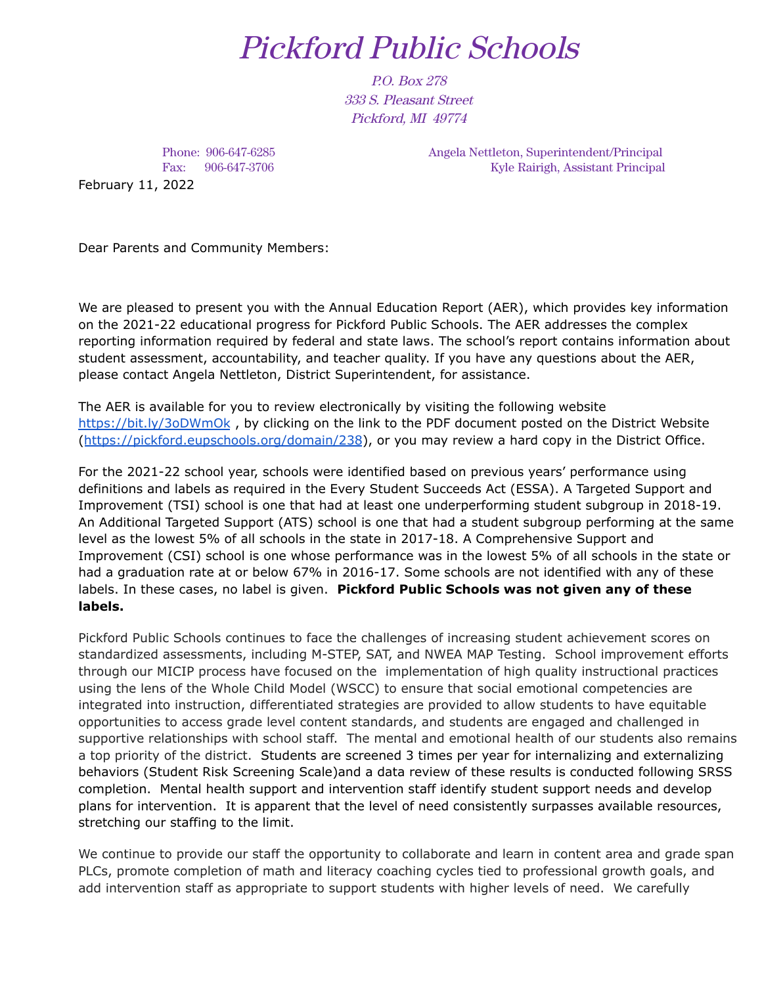## Pickford Public Schools

P.O. Box 278 333 S. Pleasant Street Pickford, MI 49774

Phone: 906-647-6285 Fax: 906-647-3706 February 11, 2022

Angela Nettleton, Superintendent/Principal Kyle Rairigh, Assistant Principal

Dear Parents and Community Members:

We are pleased to present you with the Annual Education Report (AER), which provides key information on the 2021-22 educational progress for Pickford Public Schools. The AER addresses the complex reporting information required by federal and state laws. The school's report contains information about student assessment, accountability, and teacher quality. If you have any questions about the AER, please contact Angela Nettleton, District Superintendent, for assistance.

The AER is available for you to review electronically by visiting the following website <https://bit.ly/3oDWmOk>, by clicking on the link to the PDF document posted on the District Website (<https://pickford.eupschools.org/domain/238>), or you may review a hard copy in the District Office.

For the 2021-22 school year, schools were identified based on previous years' performance using definitions and labels as required in the Every Student Succeeds Act (ESSA). A Targeted Support and Improvement (TSI) school is one that had at least one underperforming student subgroup in 2018-19. An Additional Targeted Support (ATS) school is one that had a student subgroup performing at the same level as the lowest 5% of all schools in the state in 2017-18. A Comprehensive Support and Improvement (CSI) school is one whose performance was in the lowest 5% of all schools in the state or had a graduation rate at or below 67% in 2016-17. Some schools are not identified with any of these labels. In these cases, no label is given. **Pickford Public Schools was not given any of these labels.**

Pickford Public Schools continues to face the challenges of increasing student achievement scores on standardized assessments, including M-STEP, SAT, and NWEA MAP Testing. School improvement efforts through our MICIP process have focused on the implementation of high quality instructional practices using the lens of the Whole Child Model (WSCC) to ensure that social emotional competencies are integrated into instruction, differentiated strategies are provided to allow students to have equitable opportunities to access grade level content standards, and students are engaged and challenged in supportive relationships with school staff. The mental and emotional health of our students also remains a top priority of the district. Students are screened 3 times per year for internalizing and externalizing behaviors (Student Risk Screening Scale)and a data review of these results is conducted following SRSS completion. Mental health support and intervention staff identify student support needs and develop plans for intervention. It is apparent that the level of need consistently surpasses available resources, stretching our staffing to the limit.

We continue to provide our staff the opportunity to collaborate and learn in content area and grade span PLCs, promote completion of math and literacy coaching cycles tied to professional growth goals, and add intervention staff as appropriate to support students with higher levels of need. We carefully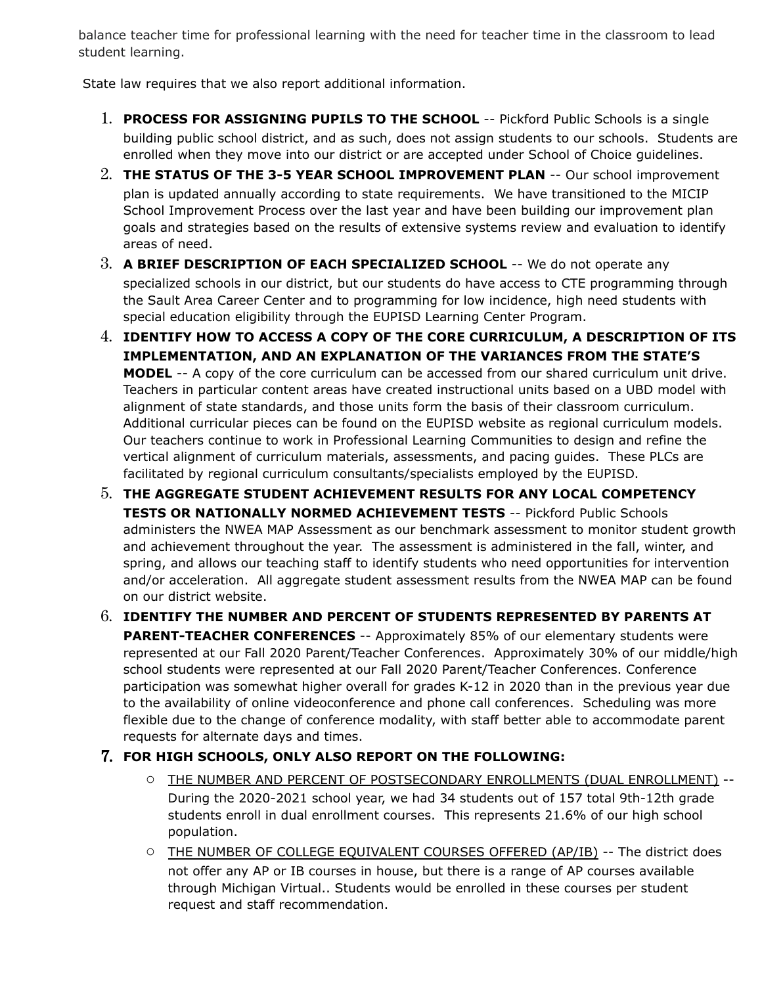balance teacher time for professional learning with the need for teacher time in the classroom to lead student learning.

State law requires that we also report additional information.

- 1. **PROCESS FOR ASSIGNING PUPILS TO THE SCHOOL** -- Pickford Public Schools is a single building public school district, and as such, does not assign students to our schools. Students are enrolled when they move into our district or are accepted under School of Choice guidelines.
- 2. **THE STATUS OF THE 3-5 YEAR SCHOOL IMPROVEMENT PLAN** -- Our school improvement plan is updated annually according to state requirements. We have transitioned to the MICIP School Improvement Process over the last year and have been building our improvement plan goals and strategies based on the results of extensive systems review and evaluation to identify areas of need.
- 3. **A BRIEF DESCRIPTION OF EACH SPECIALIZED SCHOOL** -- We do not operate any specialized schools in our district, but our students do have access to CTE programming through the Sault Area Career Center and to programming for low incidence, high need students with special education eligibility through the EUPISD Learning Center Program.
- 4. **IDENTIFY HOW TO ACCESS A COPY OF THE CORE CURRICULUM, A DESCRIPTION OF ITS IMPLEMENTATION, AND AN EXPLANATION OF THE VARIANCES FROM THE STATE'S MODEL** -- A copy of the core curriculum can be accessed from our shared curriculum unit drive. Teachers in particular content areas have created instructional units based on a UBD model with alignment of state standards, and those units form the basis of their classroom curriculum. Additional curricular pieces can be found on the EUPISD website as regional curriculum models. Our teachers continue to work in Professional Learning Communities to design and refine the vertical alignment of curriculum materials, assessments, and pacing guides. These PLCs are facilitated by regional curriculum consultants/specialists employed by the EUPISD.
- 5. **THE AGGREGATE STUDENT ACHIEVEMENT RESULTS FOR ANY LOCAL COMPETENCY TESTS OR NATIONALLY NORMED ACHIEVEMENT TESTS** -- Pickford Public Schools administers the NWEA MAP Assessment as our benchmark assessment to monitor student growth and achievement throughout the year. The assessment is administered in the fall, winter, and spring, and allows our teaching staff to identify students who need opportunities for intervention and/or acceleration. All aggregate student assessment results from the NWEA MAP can be found on our district website.
- 6. **IDENTIFY THE NUMBER AND PERCENT OF STUDENTS REPRESENTED BY PARENTS AT PARENT-TEACHER CONFERENCES** -- Approximately 85% of our elementary students were represented at our Fall 2020 Parent/Teacher Conferences. Approximately 30% of our middle/high school students were represented at our Fall 2020 Parent/Teacher Conferences. Conference participation was somewhat higher overall for grades K-12 in 2020 than in the previous year due to the availability of online videoconference and phone call conferences. Scheduling was more flexible due to the change of conference modality, with staff better able to accommodate parent requests for alternate days and times.

## 7. **FOR HIGH SCHOOLS, ONLY ALSO REPORT ON THE FOLLOWING:**

- O THE NUMBER AND PERCENT OF POSTSECONDARY ENROLLMENTS (DUAL ENROLLMENT) --During the 2020-2021 school year, we had 34 students out of 157 total 9th-12th grade students enroll in dual enrollment courses. This represents 21.6% of our high school population.
- O THE NUMBER OF COLLEGE EQUIVALENT COURSES OFFERED (AP/IB) -- The district does not offer any AP or IB courses in house, but there is a range of AP courses available through Michigan Virtual.. Students would be enrolled in these courses per student request and staff recommendation.